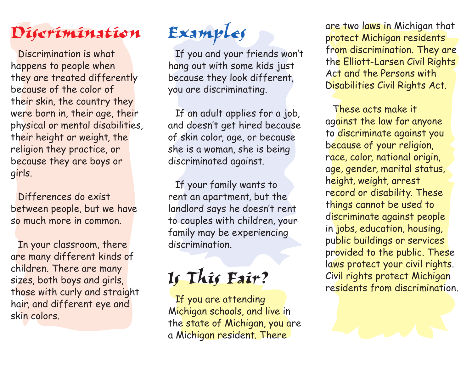## *Discrimination*

Discrimination is what happens to people when they are treated differently because of the color of their skin, the country they were born in, their age, their physical or mental disabilities, their height or weight, the religion they practice, or because they are boys or girls.

Differences do exist between people, but we have so much more in common.

In your classroom, there are many different kinds of children. There are many sizes, both boys and girls, those with curly and straight hair, and different eye and skin colors.

## *Examples*

If you and your friends won't hang out with some kids just because they look different, you are discriminating.

If an adult applies for a job, and doesn't get hired because of skin color, age, or because she is a woman, she is being discriminated against.

If your family wants to rent an apartment, but the landlord says he doesn't rent to couples with children, your family may be experiencing discrimination.

## *Is This Fair?*

If you are attending Michigan schools, and live in the state of Michigan, you are a Michigan resident. There

are two laws in Michigan that protect Michigan residents from discrimination. They are the Elliott-Larsen Civil Rights Act and the Persons with Disabilities Civil Rights Act.

These acts make it against the law for anyone to discriminate against you because of your religion, race, color, national origin, age, gender, marital status, height, weight, arrest record or disability. These things cannot be used to discriminate against people in jobs, education, housing, public buildings or services provided to the public. These laws protect your civil rights. Civil rights protect Michigan residents from discrimination.